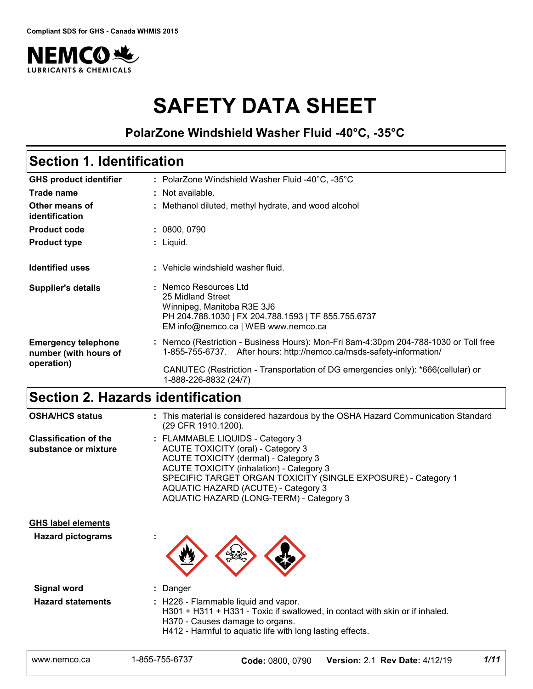

# **SAFETY DATA SHEET**

## **PolarZone Windshield Washer Fluid -40°C, -35°C**

# **Section 1. Identification**

| <b>GHS product identifier</b>                       | : PolarZone Windshield Washer Fluid -40 $^{\circ}$ C, -35 $^{\circ}$ C                                                                                                 |  |  |  |  |  |  |
|-----------------------------------------------------|------------------------------------------------------------------------------------------------------------------------------------------------------------------------|--|--|--|--|--|--|
| Trade name                                          | : Not available.                                                                                                                                                       |  |  |  |  |  |  |
| Other means of<br>identification                    | : Methanol diluted, methyl hydrate, and wood alcohol                                                                                                                   |  |  |  |  |  |  |
| <b>Product code</b>                                 | : 0800,0790                                                                                                                                                            |  |  |  |  |  |  |
| <b>Product type</b>                                 | : Liquid.                                                                                                                                                              |  |  |  |  |  |  |
| <b>Identified uses</b>                              | : Vehicle windshield washer fluid.                                                                                                                                     |  |  |  |  |  |  |
| <b>Supplier's details</b>                           | : Nemco Resources Ltd<br>25 Midland Street<br>Winnipeg, Manitoba R3E 3J6<br>PH 204.788.1030   FX 204.788.1593   TF 855.755.6737<br>EM info@nemco.ca   WEB www.nemco.ca |  |  |  |  |  |  |
| <b>Emergency telephone</b><br>number (with hours of | : Nemco (Restriction - Business Hours): Mon-Fri 8am-4:30pm 204-788-1030 or Toll free<br>1-855-755-6737. After hours: http://nemco.ca/msds-safety-information/          |  |  |  |  |  |  |
| operation)                                          | CANUTEC (Restriction - Transportation of DG emergencies only): *666(cellular) or<br>1-888-226-8832 (24/7)                                                              |  |  |  |  |  |  |

# **Section 2. Hazards identification**

| <b>OSHA/HCS status</b>                               | : This material is considered hazardous by the OSHA Hazard Communication Standard<br>(29 CFR 1910.1200).                                                                                                                                                                                                             |
|------------------------------------------------------|----------------------------------------------------------------------------------------------------------------------------------------------------------------------------------------------------------------------------------------------------------------------------------------------------------------------|
| <b>Classification of the</b><br>substance or mixture | : FLAMMABLE LIQUIDS - Category 3<br>ACUTE TOXICITY (oral) - Category 3<br>ACUTE TOXICITY (dermal) - Category 3<br><b>ACUTE TOXICITY (inhalation) - Category 3</b><br>SPECIFIC TARGET ORGAN TOXICITY (SINGLE EXPOSURE) - Category 1<br>AQUATIC HAZARD (ACUTE) - Category 3<br>AQUATIC HAZARD (LONG-TERM) - Category 3 |
| <b>GHS label elements</b>                            |                                                                                                                                                                                                                                                                                                                      |
| <b>Hazard pictograms</b>                             |                                                                                                                                                                                                                                                                                                                      |
| <b>Signal word</b>                                   | : Danger                                                                                                                                                                                                                                                                                                             |
| <b>Hazard statements</b>                             | : H226 - Flammable liquid and vapor.<br>H301 + H311 + H331 - Toxic if swallowed, in contact with skin or if inhaled.<br>H370 - Causes damage to organs.<br>H412 - Harmful to aquatic life with long lasting effects.                                                                                                 |
| www.nemco.ca                                         | 1/11<br>1-855-755-6737<br>Version: 2.1 Rev Date: 4/12/19<br>Code: 0800, 0790                                                                                                                                                                                                                                         |
|                                                      |                                                                                                                                                                                                                                                                                                                      |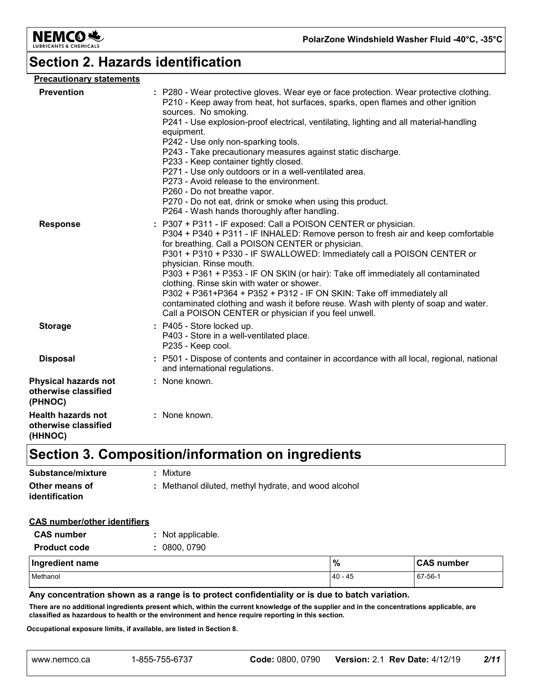

# **Section 2. Hazards identification**

| <b>Precautionary statements</b>                                |                                                                                                                                                                                                                                                                                                                                                                                                                                                                                                                                                                                                                                                                                                                 |
|----------------------------------------------------------------|-----------------------------------------------------------------------------------------------------------------------------------------------------------------------------------------------------------------------------------------------------------------------------------------------------------------------------------------------------------------------------------------------------------------------------------------------------------------------------------------------------------------------------------------------------------------------------------------------------------------------------------------------------------------------------------------------------------------|
| <b>Prevention</b>                                              | : P280 - Wear protective gloves. Wear eye or face protection. Wear protective clothing.<br>P210 - Keep away from heat, hot surfaces, sparks, open flames and other ignition<br>sources. No smoking.<br>P241 - Use explosion-proof electrical, ventilating, lighting and all material-handling<br>equipment.<br>P242 - Use only non-sparking tools.<br>P243 - Take precautionary measures against static discharge.<br>P233 - Keep container tightly closed.<br>P271 - Use only outdoors or in a well-ventilated area.<br>P273 - Avoid release to the environment.<br>P260 - Do not breathe vapor.<br>P270 - Do not eat, drink or smoke when using this product.<br>P264 - Wash hands thoroughly after handling. |
| <b>Response</b>                                                | : P307 + P311 - IF exposed: Call a POISON CENTER or physician.<br>P304 + P340 + P311 - IF INHALED: Remove person to fresh air and keep comfortable<br>for breathing. Call a POISON CENTER or physician.<br>P301 + P310 + P330 - IF SWALLOWED: Immediately call a POISON CENTER or<br>physician. Rinse mouth.<br>P303 + P361 + P353 - IF ON SKIN (or hair): Take off immediately all contaminated<br>clothing. Rinse skin with water or shower.<br>P302 + P361+P364 + P352 + P312 - IF ON SKIN: Take off immediately all<br>contaminated clothing and wash it before reuse. Wash with plenty of soap and water.<br>Call a POISON CENTER or physician if you feel unwell.                                         |
| <b>Storage</b>                                                 | : P405 - Store locked up.<br>P403 - Store in a well-ventilated place.<br>P235 - Keep cool.                                                                                                                                                                                                                                                                                                                                                                                                                                                                                                                                                                                                                      |
| <b>Disposal</b>                                                | : P501 - Dispose of contents and container in accordance with all local, regional, national<br>and international regulations.                                                                                                                                                                                                                                                                                                                                                                                                                                                                                                                                                                                   |
| <b>Physical hazards not</b><br>otherwise classified<br>(PHNOC) | : None known.                                                                                                                                                                                                                                                                                                                                                                                                                                                                                                                                                                                                                                                                                                   |
| <b>Health hazards not</b><br>otherwise classified<br>(HHNOC)   | : None known.                                                                                                                                                                                                                                                                                                                                                                                                                                                                                                                                                                                                                                                                                                   |

### **Section 3. Composition/information on ingredients**

| Substance/mixture                | : Mixture                                            |
|----------------------------------|------------------------------------------------------|
| Other means of<br>identification | : Methanol diluted, methyl hydrate, and wood alcohol |

#### **CAS number/other identifiers**

| <b>CAS number</b>   | : Not applicable. |         |                   |
|---------------------|-------------------|---------|-------------------|
| <b>Product code</b> | : 0800,0790       |         |                   |
| Ingredient name     |                   | %       | <b>CAS number</b> |
| Methanol            |                   | 40 - 45 | 67-56-1           |

#### **Any concentration shown as a range is to protect confidentiality or is due to batch variation.**

**There are no additional ingredients present which, within the current knowledge of the supplier and in the concentrations applicable, are classified as hazardous to health or the environment and hence require reporting in this section.** Next are no determined in growth which, which is extended in Section.<br>
Insisted as hazardous to health or the environment and hence require reporting in this section.<br> **Code:** 0800, 0790 **Version:** 2.1 **Rev Date:** 4/12/19

**Occupational exposure limits, if available, are listed in Section 8.**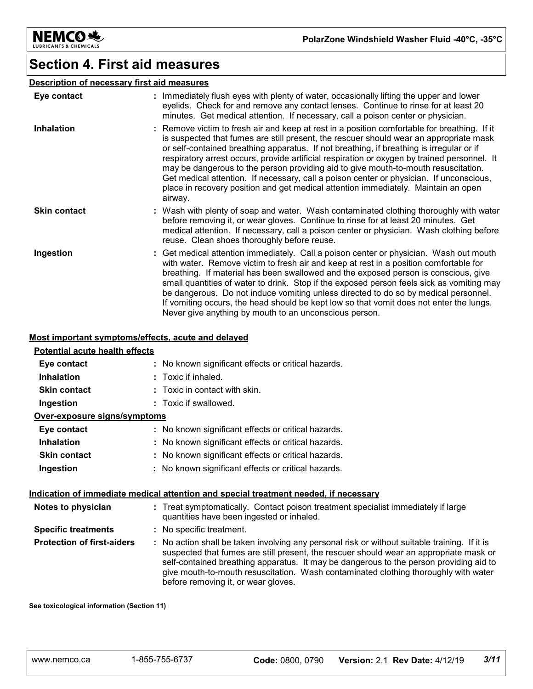

### **Section 4. First aid measures**

#### **Description of necessary first aid measures**

| Eye contact         | : Immediately flush eyes with plenty of water, occasionally lifting the upper and lower<br>eyelids. Check for and remove any contact lenses. Continue to rinse for at least 20<br>minutes. Get medical attention. If necessary, call a poison center or physician.                                                                                                                                                                                                                                                                                                                                                                                                   |
|---------------------|----------------------------------------------------------------------------------------------------------------------------------------------------------------------------------------------------------------------------------------------------------------------------------------------------------------------------------------------------------------------------------------------------------------------------------------------------------------------------------------------------------------------------------------------------------------------------------------------------------------------------------------------------------------------|
| <b>Inhalation</b>   | : Remove victim to fresh air and keep at rest in a position comfortable for breathing. If it<br>is suspected that fumes are still present, the rescuer should wear an appropriate mask<br>or self-contained breathing apparatus. If not breathing, if breathing is irregular or if<br>respiratory arrest occurs, provide artificial respiration or oxygen by trained personnel. It<br>may be dangerous to the person providing aid to give mouth-to-mouth resuscitation.<br>Get medical attention. If necessary, call a poison center or physician. If unconscious,<br>place in recovery position and get medical attention immediately. Maintain an open<br>airway. |
| <b>Skin contact</b> | : Wash with plenty of soap and water. Wash contaminated clothing thoroughly with water<br>before removing it, or wear gloves. Continue to rinse for at least 20 minutes. Get<br>medical attention. If necessary, call a poison center or physician. Wash clothing before<br>reuse. Clean shoes thoroughly before reuse.                                                                                                                                                                                                                                                                                                                                              |
| Ingestion           | : Get medical attention immediately. Call a poison center or physician. Wash out mouth<br>with water. Remove victim to fresh air and keep at rest in a position comfortable for<br>breathing. If material has been swallowed and the exposed person is conscious, give<br>small quantities of water to drink. Stop if the exposed person feels sick as vomiting may<br>be dangerous. Do not induce vomiting unless directed to do so by medical personnel.<br>If vomiting occurs, the head should be kept low so that vomit does not enter the lungs.<br>Never give anything by mouth to an unconscious person.                                                      |

#### **Most important symptoms/effects, acute and delayed**

### **Eye contact :** No known significant effects or critical hazards. **Potential acute health effects**

| <b>Inhalation</b>                 | $:$ Toxic if inhaled.                                                                                                                                                                                                                                                                                                                                                    |
|-----------------------------------|--------------------------------------------------------------------------------------------------------------------------------------------------------------------------------------------------------------------------------------------------------------------------------------------------------------------------------------------------------------------------|
| <b>Skin contact</b>               | $\therefore$ Toxic in contact with skin.                                                                                                                                                                                                                                                                                                                                 |
| Ingestion                         | : Toxic if swallowed.                                                                                                                                                                                                                                                                                                                                                    |
| Over-exposure signs/symptoms      |                                                                                                                                                                                                                                                                                                                                                                          |
| Eye contact                       | : No known significant effects or critical hazards.                                                                                                                                                                                                                                                                                                                      |
| <b>Inhalation</b>                 | : No known significant effects or critical hazards.                                                                                                                                                                                                                                                                                                                      |
| <b>Skin contact</b>               | : No known significant effects or critical hazards.                                                                                                                                                                                                                                                                                                                      |
| Ingestion                         | : No known significant effects or critical hazards.                                                                                                                                                                                                                                                                                                                      |
|                                   | <u>Indication of immediate medical attention and special treatment needed, if necessary</u>                                                                                                                                                                                                                                                                              |
| Notes to physician                | : Treat symptomatically. Contact poison treatment specialist immediately if large<br>quantities have been ingested or inhaled.                                                                                                                                                                                                                                           |
| <b>Specific treatments</b>        | : No specific treatment.                                                                                                                                                                                                                                                                                                                                                 |
| <b>Protection of first-aiders</b> | : No action shall be taken involving any personal risk or without suitable training. If it is<br>suspected that fumes are still present, the rescuer should wear an appropriate mask or<br>self-contained breathing apparatus. It may be dangerous to the person providing aid to<br>give mouth-to-mouth resuscitation. Wash contaminated clothing thoroughly with water |

before removing it, or wear gloves.

**See toxicological information (Section 11)**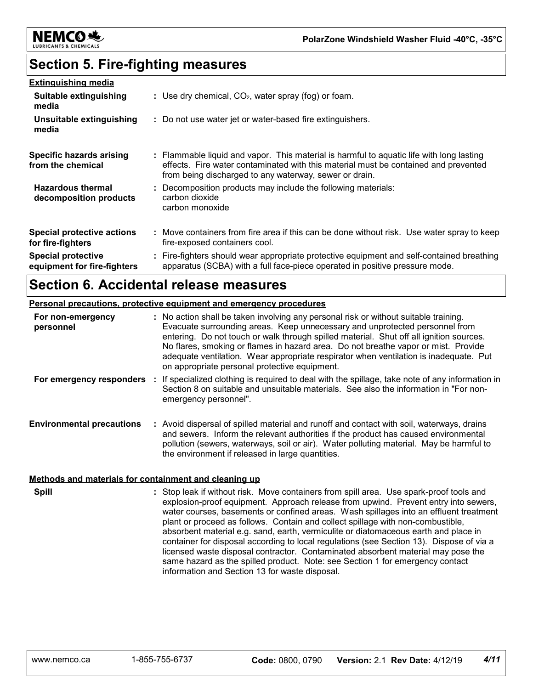

### **Section 5. Fire-fighting measures**

| <b>Extinguishing media</b>                               |                                                                                                                                                                                                                                           |
|----------------------------------------------------------|-------------------------------------------------------------------------------------------------------------------------------------------------------------------------------------------------------------------------------------------|
| Suitable extinguishing<br>media                          | : Use dry chemical, $CO2$ , water spray (fog) or foam.                                                                                                                                                                                    |
| Unsuitable extinguishing<br>media                        | : Do not use water jet or water-based fire extinguishers.                                                                                                                                                                                 |
| <b>Specific hazards arising</b><br>from the chemical     | : Flammable liquid and vapor. This material is harmful to aquatic life with long lasting<br>effects. Fire water contaminated with this material must be contained and prevented<br>from being discharged to any waterway, sewer or drain. |
| <b>Hazardous thermal</b><br>decomposition products       | : Decomposition products may include the following materials:<br>carbon dioxide<br>carbon monoxide                                                                                                                                        |
| <b>Special protective actions</b><br>for fire-fighters   | : Move containers from fire area if this can be done without risk. Use water spray to keep<br>fire-exposed containers cool.                                                                                                               |
| <b>Special protective</b><br>equipment for fire-fighters | : Fire-fighters should wear appropriate protective equipment and self-contained breathing<br>apparatus (SCBA) with a full face-piece operated in positive pressure mode.                                                                  |

### **Section 6. Accidental release measures**

#### **Personal precautions, protective equipment and emergency procedures**

| For non-emergency<br>personnel   | : No action shall be taken involving any personal risk or without suitable training.<br>Evacuate surrounding areas. Keep unnecessary and unprotected personnel from<br>entering. Do not touch or walk through spilled material. Shut off all ignition sources.<br>No flares, smoking or flames in hazard area. Do not breathe vapor or mist. Provide<br>adequate ventilation. Wear appropriate respirator when ventilation is inadequate. Put<br>on appropriate personal protective equipment. |
|----------------------------------|------------------------------------------------------------------------------------------------------------------------------------------------------------------------------------------------------------------------------------------------------------------------------------------------------------------------------------------------------------------------------------------------------------------------------------------------------------------------------------------------|
| For emergency responders         | If specialized clothing is required to deal with the spillage, take note of any information in<br>Section 8 on suitable and unsuitable materials. See also the information in "For non-<br>emergency personnel".                                                                                                                                                                                                                                                                               |
| <b>Environmental precautions</b> | : Avoid dispersal of spilled material and runoff and contact with soil, waterways, drains<br>and sewers. Inform the relevant authorities if the product has caused environmental<br>pollution (sewers, waterways, soil or air). Water polluting material. May be harmful to<br>the environment if released in large quantities.                                                                                                                                                                |

#### **Methods and materials for containment and cleaning up**

**Spill** Stop leak if without risk. Move containers from spill area. Use spark-proof tools and **:** explosion-proof equipment. Approach release from upwind. Prevent entry into sewers, water courses, basements or confined areas. Wash spillages into an effluent treatment plant or proceed as follows. Contain and collect spillage with non-combustible, absorbent material e.g. sand, earth, vermiculite or diatomaceous earth and place in container for disposal according to local regulations (see Section 13). Dispose of via a licensed waste disposal contractor. Contaminated absorbent material may pose the same hazard as the spilled product. Note: see Section 1 for emergency contact information and Section 13 for waste disposal.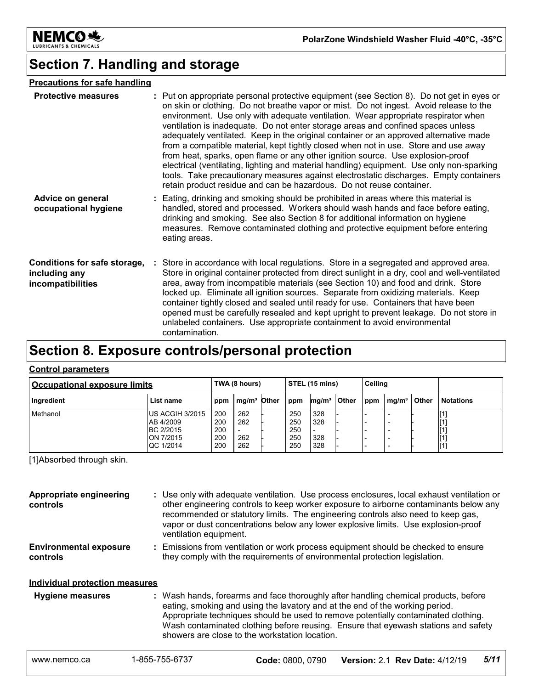

# **Section 7. Handling and storage**

#### **Precautions for safe handling**

| <b>Protective measures</b>                                         | : Put on appropriate personal protective equipment (see Section 8). Do not get in eyes or<br>on skin or clothing. Do not breathe vapor or mist. Do not ingest. Avoid release to the<br>environment. Use only with adequate ventilation. Wear appropriate respirator when<br>ventilation is inadequate. Do not enter storage areas and confined spaces unless<br>adequately ventilated. Keep in the original container or an approved alternative made<br>from a compatible material, kept tightly closed when not in use. Store and use away<br>from heat, sparks, open flame or any other ignition source. Use explosion-proof<br>electrical (ventilating, lighting and material handling) equipment. Use only non-sparking<br>tools. Take precautionary measures against electrostatic discharges. Empty containers<br>retain product residue and can be hazardous. Do not reuse container. |
|--------------------------------------------------------------------|-----------------------------------------------------------------------------------------------------------------------------------------------------------------------------------------------------------------------------------------------------------------------------------------------------------------------------------------------------------------------------------------------------------------------------------------------------------------------------------------------------------------------------------------------------------------------------------------------------------------------------------------------------------------------------------------------------------------------------------------------------------------------------------------------------------------------------------------------------------------------------------------------|
| Advice on general<br>occupational hygiene                          | : Eating, drinking and smoking should be prohibited in areas where this material is<br>handled, stored and processed. Workers should wash hands and face before eating,<br>drinking and smoking. See also Section 8 for additional information on hygiene<br>measures. Remove contaminated clothing and protective equipment before entering<br>eating areas.                                                                                                                                                                                                                                                                                                                                                                                                                                                                                                                                 |
| Conditions for safe storage,<br>including any<br>incompatibilities | Store in accordance with local regulations. Store in a segregated and approved area.<br>Store in original container protected from direct sunlight in a dry, cool and well-ventilated<br>area, away from incompatible materials (see Section 10) and food and drink. Store<br>locked up. Eliminate all ignition sources. Separate from oxidizing materials. Keep<br>container tightly closed and sealed until ready for use. Containers that have been<br>opened must be carefully resealed and kept upright to prevent leakage. Do not store in<br>unlabeled containers. Use appropriate containment to avoid environmental<br>contamination.                                                                                                                                                                                                                                                |

# **Section 8. Exposure controls/personal protection**

#### **Control parameters**

| <b>Occupational exposure limits</b> |                                                                             | TWA (8 hours)                   |                          |  | STEL (15 mins)                  |                          |       | Ceiling |                   |       |                                                |
|-------------------------------------|-----------------------------------------------------------------------------|---------------------------------|--------------------------|--|---------------------------------|--------------------------|-------|---------|-------------------|-------|------------------------------------------------|
| Ingredient                          | List name                                                                   | ppm                             | mg/m <sup>3</sup> Other  |  | ppm                             | mg/m <sup>3</sup>        | Other | ppm     | mq/m <sup>3</sup> | Other | <b>Notations</b>                               |
| Methanol                            | IUS ACGIH 3/2015<br>AB 4/2009<br><b>BC 2/2015</b><br>ON 7/2015<br>QC 1/2014 | 200<br>200<br>200<br>200<br>200 | 262<br>262<br>262<br>262 |  | 250<br>250<br>250<br>250<br>250 | 328<br>328<br>328<br>328 |       |         | -<br><b>100</b>   |       | [1]<br>$^{[1]}$<br>$^{[1]}$<br>$^{[1]}$<br>[1] |

[1]Absorbed through skin.

| Appropriate engineering<br>controls       |                | : Use only with adequate ventilation. Use process enclosures, local exhaust ventilation or<br>other engineering controls to keep worker exposure to airborne contaminants below any<br>recommended or statutory limits. The engineering controls also need to keep gas,<br>vapor or dust concentrations below any lower explosive limits. Use explosion-proof<br>ventilation equipment.           |                                                                                                                                                                  |      |  |  |  |  |
|-------------------------------------------|----------------|---------------------------------------------------------------------------------------------------------------------------------------------------------------------------------------------------------------------------------------------------------------------------------------------------------------------------------------------------------------------------------------------------|------------------------------------------------------------------------------------------------------------------------------------------------------------------|------|--|--|--|--|
| <b>Environmental exposure</b><br>controls |                |                                                                                                                                                                                                                                                                                                                                                                                                   | : Emissions from ventilation or work process equipment should be checked to ensure<br>they comply with the requirements of environmental protection legislation. |      |  |  |  |  |
| Individual protection measures            |                |                                                                                                                                                                                                                                                                                                                                                                                                   |                                                                                                                                                                  |      |  |  |  |  |
| <b>Hygiene measures</b>                   |                | : Wash hands, forearms and face thoroughly after handling chemical products, before<br>eating, smoking and using the lavatory and at the end of the working period.<br>Appropriate techniques should be used to remove potentially contaminated clothing.<br>Wash contaminated clothing before reusing. Ensure that eyewash stations and safety<br>showers are close to the workstation location. |                                                                                                                                                                  |      |  |  |  |  |
| www.nemco.ca                              | 1-855-755-6737 | Code: 0800, 0790                                                                                                                                                                                                                                                                                                                                                                                  | <b>Version: 2.1 Rev Date: 4/12/19</b>                                                                                                                            | 5/11 |  |  |  |  |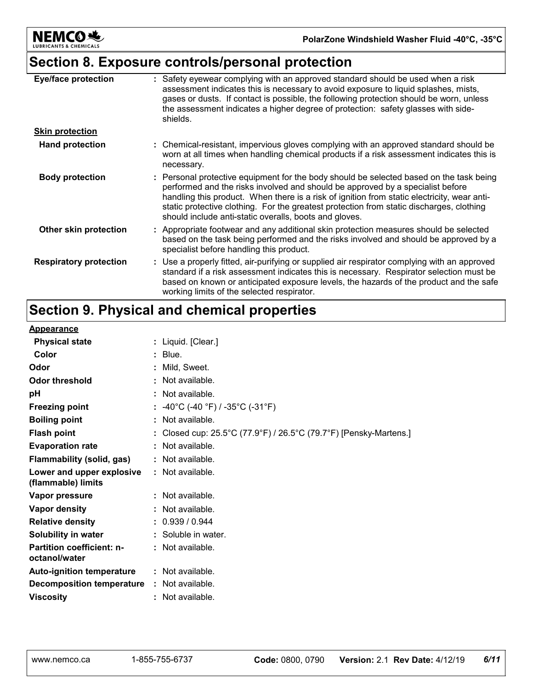

# **Section 8. Exposure controls/personal protection**

| <b>Eye/face protection</b>    | : Safety eyewear complying with an approved standard should be used when a risk<br>assessment indicates this is necessary to avoid exposure to liquid splashes, mists,<br>gases or dusts. If contact is possible, the following protection should be worn, unless<br>the assessment indicates a higher degree of protection: safety glasses with side-<br>shields.                                                             |
|-------------------------------|--------------------------------------------------------------------------------------------------------------------------------------------------------------------------------------------------------------------------------------------------------------------------------------------------------------------------------------------------------------------------------------------------------------------------------|
| <b>Skin protection</b>        |                                                                                                                                                                                                                                                                                                                                                                                                                                |
| <b>Hand protection</b>        | : Chemical-resistant, impervious gloves complying with an approved standard should be<br>worn at all times when handling chemical products if a risk assessment indicates this is<br>necessary.                                                                                                                                                                                                                                |
| <b>Body protection</b>        | : Personal protective equipment for the body should be selected based on the task being<br>performed and the risks involved and should be approved by a specialist before<br>handling this product. When there is a risk of ignition from static electricity, wear anti-<br>static protective clothing. For the greatest protection from static discharges, clothing<br>should include anti-static overalls, boots and gloves. |
| Other skin protection         | : Appropriate footwear and any additional skin protection measures should be selected<br>based on the task being performed and the risks involved and should be approved by a<br>specialist before handling this product.                                                                                                                                                                                                      |
| <b>Respiratory protection</b> | : Use a properly fitted, air-purifying or supplied air respirator complying with an approved<br>standard if a risk assessment indicates this is necessary. Respirator selection must be<br>based on known or anticipated exposure levels, the hazards of the product and the safe<br>working limits of the selected respirator.                                                                                                |

# **Section 9. Physical and chemical properties**

#### **Appearance**

| <u>188998181199</u>                               |                                                                 |
|---------------------------------------------------|-----------------------------------------------------------------|
| <b>Physical state</b>                             | : Liquid. [Clear.]                                              |
| Color                                             | $:$ Blue.                                                       |
| Odor                                              | Mild, Sweet.                                                    |
| Odor threshold                                    | : Not available.                                                |
| pH                                                | : Not available.                                                |
| <b>Freezing point</b>                             | : -40°C (-40 °F) / -35°C (-31°F)                                |
| <b>Boiling point</b>                              | : Not available.                                                |
| <b>Flash point</b>                                | Closed cup: 25.5°C (77.9°F) / 26.5°C (79.7°F) [Pensky-Martens.] |
| <b>Evaporation rate</b>                           | : Not available.                                                |
| Flammability (solid, gas)                         | : Not available.                                                |
| Lower and upper explosive<br>(flammable) limits   | : Not available.                                                |
| Vapor pressure                                    | : Not available.                                                |
| Vapor density                                     | : Not available.                                                |
| <b>Relative density</b>                           | : 0.939 / 0.944                                                 |
| Solubility in water                               | : Soluble in water.                                             |
| <b>Partition coefficient: n-</b><br>octanol/water | : Not available.                                                |
| <b>Auto-ignition temperature</b>                  | : Not available.                                                |
| <b>Decomposition temperature</b>                  | : Not available.                                                |
| <b>Viscosity</b>                                  | : Not available.                                                |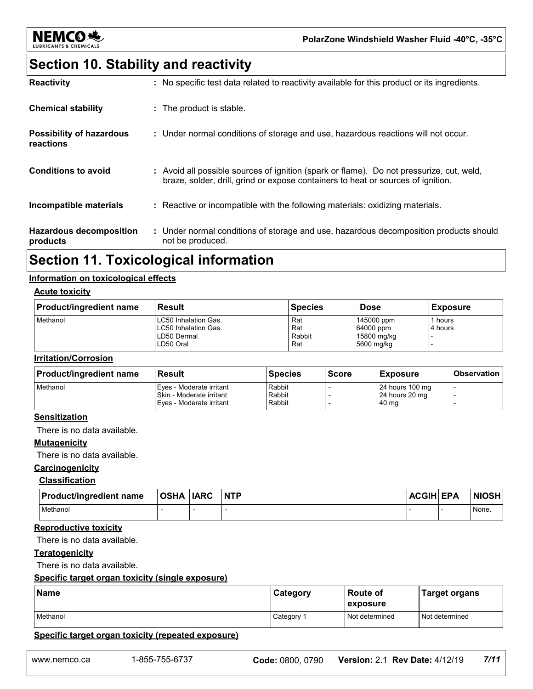

# **Section 10. Stability and reactivity**

| <b>Reactivity</b>                            | : No specific test data related to reactivity available for this product or its ingredients.                                                                                 |
|----------------------------------------------|------------------------------------------------------------------------------------------------------------------------------------------------------------------------------|
| <b>Chemical stability</b>                    | : The product is stable.                                                                                                                                                     |
| <b>Possibility of hazardous</b><br>reactions | : Under normal conditions of storage and use, hazardous reactions will not occur.                                                                                            |
| Conditions to avoid                          | : Avoid all possible sources of ignition (spark or flame). Do not pressurize, cut, weld,<br>braze, solder, drill, grind or expose containers to heat or sources of ignition. |
| Incompatible materials                       | : Reactive or incompatible with the following materials: oxidizing materials.                                                                                                |
| <b>Hazardous decomposition</b><br>products   | : Under normal conditions of storage and use, hazardous decomposition products should<br>not be produced.                                                                    |

### **Section 11. Toxicological information**

#### **Information on toxicological effects**

#### **Acute toxicity**

| <b>Product/ingredient name</b> | <b>Result</b>                                                            | <b>Species</b>              | <b>Dose</b>                                          | <b>Exposure</b>    |
|--------------------------------|--------------------------------------------------------------------------|-----------------------------|------------------------------------------------------|--------------------|
| Methanol                       | LC50 Inhalation Gas.<br>LC50 Inhalation Gas.<br>LD50 Dermal<br>LD50 Oral | Rat<br>Rat<br>Rabbit<br>Rat | 145000 ppm<br>64000 ppm<br>15800 mg/kg<br>5600 mg/kg | l hours<br>4 hours |

#### **Irritation/Corrosion**

| <b>Product/ingredient name</b> | <b>Result</b>                                                                    | <b>Species</b>             | <b>Score</b> | <b>Exposure</b>                             | <b>Observation</b> |
|--------------------------------|----------------------------------------------------------------------------------|----------------------------|--------------|---------------------------------------------|--------------------|
| Methanol                       | Eyes - Moderate irritant<br>Skin - Moderate irritant<br>Eves - Moderate irritant | Rabbit<br>Rabbit<br>Rabbit |              | 24 hours 100 mg<br>24 hours 20 mg<br>140 mg |                    |

#### **Sensitization**

There is no data available.

#### **Mutagenicity**

There is no data available.

#### **Carcinogenicity**

#### **Classification**

| <b>Product/ingredient name</b> | <b>OSHA</b> | <b>IARC</b> | <b>NTP</b> | <b>ACGIH EPA</b> | <b>NIOSH</b> |
|--------------------------------|-------------|-------------|------------|------------------|--------------|
| Methanol                       |             |             |            |                  | None.        |

#### **Reproductive toxicity**

There is no data available.

#### **Teratogenicity**

There is no data available.

#### **Specific target organ toxicity (single exposure)**

|                | <b>Category</b>  | l Route of<br>exposure                             | <b>Target organs</b> |                                       |
|----------------|------------------|----------------------------------------------------|----------------------|---------------------------------------|
|                | Category 1       | Not determined                                     | Not determined       |                                       |
|                |                  |                                                    |                      |                                       |
| 1-855-755-6737 | Code: 0800, 0790 |                                                    |                      | 7/11                                  |
|                |                  | Specific target organ toxicity (repeated exposure) |                      | <b>Version: 2.1 Rev Date: 4/12/19</b> |

#### **Specific target organ toxicity (repeated exposure)**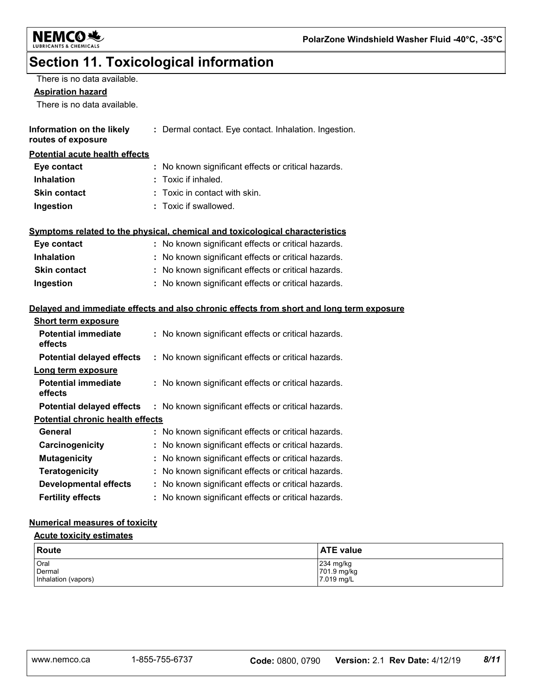

# **Section 11. Toxicological information**

| There is no data available.             |                                                                                          |
|-----------------------------------------|------------------------------------------------------------------------------------------|
| <b>Aspiration hazard</b>                |                                                                                          |
| There is no data available.             |                                                                                          |
|                                         |                                                                                          |
| Information on the likely               | : Dermal contact. Eye contact. Inhalation. Ingestion.                                    |
| routes of exposure                      |                                                                                          |
| <b>Potential acute health effects</b>   |                                                                                          |
| Eye contact                             | : No known significant effects or critical hazards.                                      |
| <b>Inhalation</b>                       | : Toxic if inhaled.                                                                      |
| <b>Skin contact</b>                     | Toxic in contact with skin.                                                              |
| Ingestion                               | : Toxic if swallowed.                                                                    |
|                                         |                                                                                          |
|                                         | Symptoms related to the physical, chemical and toxicological characteristics             |
| Eye contact                             | : No known significant effects or critical hazards.                                      |
| <b>Inhalation</b>                       | : No known significant effects or critical hazards.                                      |
| <b>Skin contact</b>                     | : No known significant effects or critical hazards.                                      |
| Ingestion                               | : No known significant effects or critical hazards.                                      |
|                                         |                                                                                          |
|                                         | Delayed and immediate effects and also chronic effects from short and long term exposure |
| <b>Short term exposure</b>              |                                                                                          |
| <b>Potential immediate</b>              | : No known significant effects or critical hazards.                                      |
| effects                                 |                                                                                          |
| <b>Potential delayed effects</b>        | : No known significant effects or critical hazards.                                      |
| Long term exposure                      |                                                                                          |
| <b>Potential immediate</b>              | : No known significant effects or critical hazards.                                      |
| effects                                 |                                                                                          |
| <b>Potential delayed effects</b>        | : No known significant effects or critical hazards.                                      |
| <b>Potential chronic health effects</b> |                                                                                          |
| General                                 | : No known significant effects or critical hazards.                                      |
| Carcinogenicity                         | : No known significant effects or critical hazards.                                      |
| <b>Mutagenicity</b>                     | : No known significant effects or critical hazards.                                      |
| <b>Teratogenicity</b>                   | : No known significant effects or critical hazards.                                      |
| <b>Developmental effects</b>            | : No known significant effects or critical hazards.                                      |
| <b>Fertility effects</b>                | : No known significant effects or critical hazards.                                      |
|                                         |                                                                                          |

#### **Numerical measures of toxicity**

#### **Acute toxicity estimates**

| Route               | <b>ATE value</b>           |
|---------------------|----------------------------|
| Oral<br>Dermal      | $234$ mg/kg<br>701.9 mg/kg |
| Inhalation (vapors) | 7.019 mg/L                 |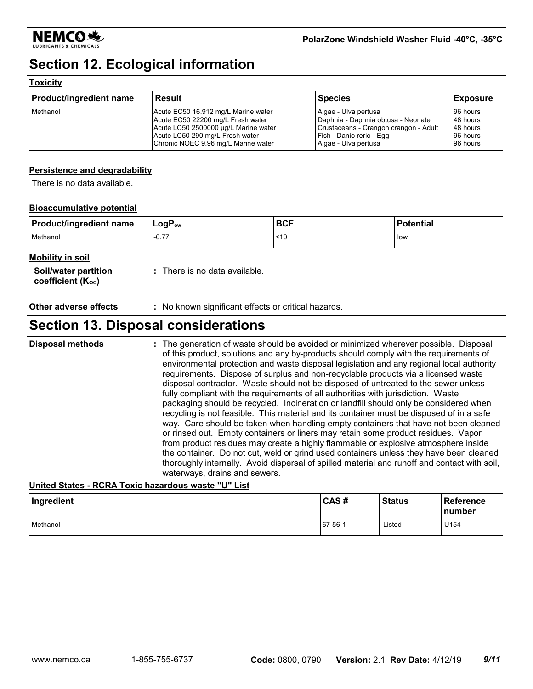

## **Section 12. Ecological information**

#### **Toxicity**

| <b>Product/ingredient name</b> | <b>Result</b>                        | Species                               | <b>Exposure</b> |
|--------------------------------|--------------------------------------|---------------------------------------|-----------------|
| Methanol                       | Acute EC50 16.912 mg/L Marine water  | Algae - Ulva pertusa                  | 96 hours        |
|                                | Acute EC50 22200 mg/L Fresh water    | Daphnia - Daphnia obtusa - Neonate    | 48 hours        |
|                                | Acute LC50 2500000 µg/L Marine water | Crustaceans - Crangon crangon - Adult | 48 hours        |
|                                | Acute LC50 290 mg/L Fresh water      | Fish - Danio rerio - Egg              | 96 hours        |
|                                | Chronic NOEC 9.96 mg/L Marine water  | Algae - Ulva pertusa                  | 96 hours        |

#### **Persistence and degradability**

There is no data available.

#### **Bioaccumulative potential**

| <b>Product/ingredient name</b> | $LogP_{ow}$              | <b>BCF</b> | <b>Potential</b> |
|--------------------------------|--------------------------|------------|------------------|
| Methanol                       | $\overline{ }$<br>$-0.7$ | 50         | low              |

#### **Mobility in soil**

| Soil/water partition           |  |
|--------------------------------|--|
| coefficient (K <sub>oc</sub> ) |  |

**:** There is no data available.

**Other adverse effects** : No known significant effects or critical hazards.

### **Section 13. Disposal considerations**

The generation of waste should be avoided or minimized wherever possible. Disposal of this product, solutions and any by-products should comply with the requirements of environmental protection and waste disposal legislation and any regional local authority requirements. Dispose of surplus and non-recyclable products via a licensed waste disposal contractor. Waste should not be disposed of untreated to the sewer unless fully compliant with the requirements of all authorities with jurisdiction. Waste packaging should be recycled. Incineration or landfill should only be considered when recycling is not feasible. This material and its container must be disposed of in a safe way. Care should be taken when handling empty containers that have not been cleaned or rinsed out. Empty containers or liners may retain some product residues. Vapor from product residues may create a highly flammable or explosive atmosphere inside the container. Do not cut, weld or grind used containers unless they have been cleaned thoroughly internally. Avoid dispersal of spilled material and runoff and contact with soil, waterways, drains and sewers. **Disposal methods :**

#### **United States - RCRA Toxic hazardous waste "U" List**

| Ingredient | CAS#    | <b>Status</b> | <b>Reference</b><br><b>number</b> |
|------------|---------|---------------|-----------------------------------|
| Methanol   | 67-56-1 | Listed        | U154                              |